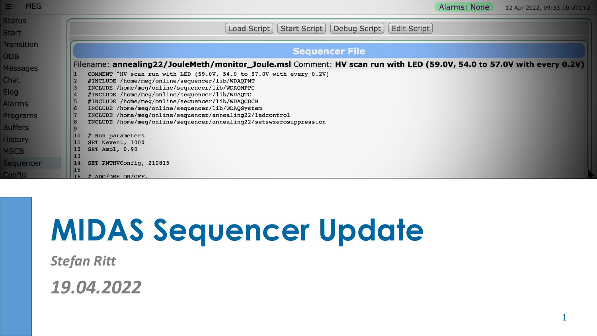| <b>MEG</b><br>÷.  | Alarms: None<br>12 Apr 2022, 09:33:00 UTC+2                                                                                      |
|-------------------|----------------------------------------------------------------------------------------------------------------------------------|
| <b>Status</b>     |                                                                                                                                  |
| <b>Start</b>      | Start Script<br>Debug Script<br>Edit Script<br>Load Script                                                                       |
| <b>Transition</b> |                                                                                                                                  |
| <b>ODB</b>        | <b>Sequencer File</b>                                                                                                            |
| <b>Messages</b>   | Filename: annealing22/JouleMeth/monitor_Joule.msl Comment: HV scan run with LED (59.0V, 54.0 to 57.0V with every 0.2V)           |
|                   | COMMENT "HV scan run with LED (59.0V, 54.0 to 57.0V with every 0.2V)                                                             |
| Chat              | #INCLUDE /home/meg/online/sequencer/lib/WDAQPMT                                                                                  |
| Elog              | INCLUDE /home/meg/online/sequencer/lib/WDAQMPPC                                                                                  |
|                   | #INCLUDE /home/meg/online/sequencer/lib/WDAQTC                                                                                   |
| <b>Alarms</b>     | #INCLUDE /home/meg/online/sequencer/lib/WDAQCDCH                                                                                 |
|                   | INCLUDE /home/meg/online/sequencer/lib/WDAQSystem                                                                                |
| Programs          | INCLUDE /home/meg/online/sequencer/annealing22/ledcontrol<br>INCLUDE /home/meg/online/sequencer/annealing22/setswzerosuppression |
| <b>Buffers</b>    |                                                                                                                                  |
|                   | 10<br># Run parameters                                                                                                           |
| <b>History</b>    | SET Nevent, 1000                                                                                                                 |
| <b>MSCB</b>       | 12<br>SET Ampl, 0.90<br>13                                                                                                       |
| <b>Sequencer</b>  | SET PMTHVConfig, 210815                                                                                                          |
| <b>Config</b>     | 15<br># ADC/DRS ON/OFF.                                                                                                          |

# **MIDAS Sequencer Update**

*Stefan Ritt*

*19.04.2022*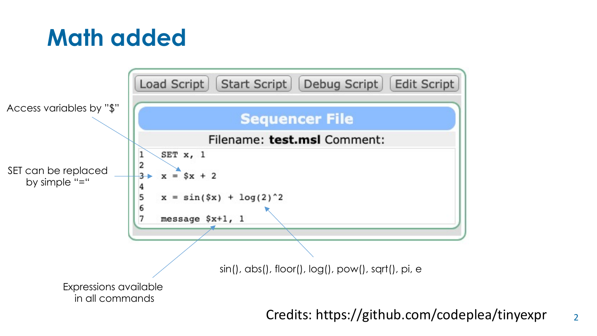#### **Math added**



Credits: https://github.com/codeplea/tinyexpr

2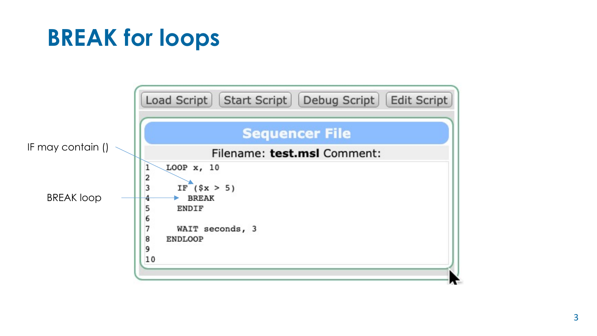### **BREAK for loops**

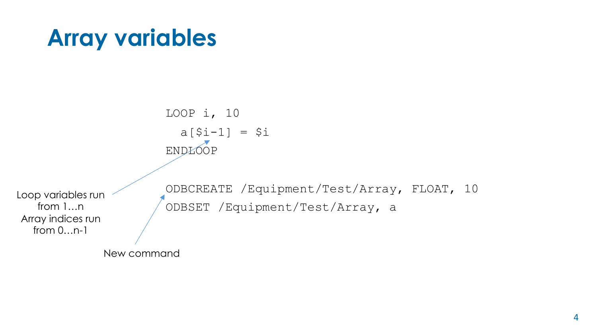#### **Array variables**

LOOP i, 10  $a[$i-1] = $i$ ENDLOOP ODBCREATE /Equipment/Test/Array, FLOAT, 10 ODBSET /Equipment/Test/Array, a Loop variables run from 1…n Array indices run from 0…n-1

New command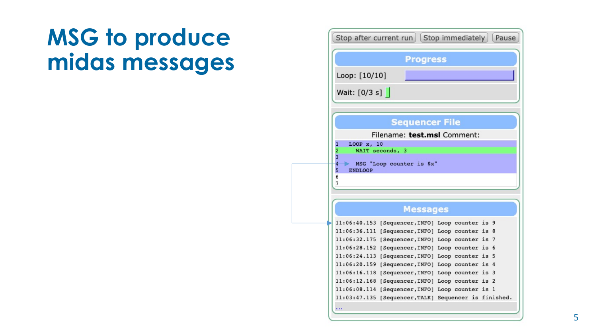#### **MSG to produce midas messages**

| Stop after current run   Stop immediately |                                                                            |  | Pause          |  |  |  |
|-------------------------------------------|----------------------------------------------------------------------------|--|----------------|--|--|--|
|                                           | <b>Progress</b>                                                            |  |                |  |  |  |
| Loop: [10/10]                             |                                                                            |  |                |  |  |  |
| Wait: $[0/3 s]$                           |                                                                            |  |                |  |  |  |
|                                           | <b>Sequencer File</b>                                                      |  |                |  |  |  |
|                                           | Filename: test.msl Comment:                                                |  |                |  |  |  |
| LOOP x, 10<br>1                           |                                                                            |  |                |  |  |  |
| WAIT seconds, 3<br>2<br>3                 |                                                                            |  |                |  |  |  |
| 4                                         | MSG "Loop counter is \$x"                                                  |  |                |  |  |  |
| 5<br><b>ENDLOOP</b><br>6                  |                                                                            |  |                |  |  |  |
| 7                                         |                                                                            |  |                |  |  |  |
|                                           |                                                                            |  |                |  |  |  |
|                                           | <b>Messages</b>                                                            |  |                |  |  |  |
| 11:06:40.153                              | [Sequencer, INFO] Loop counter is 9                                        |  |                |  |  |  |
| 11:06:36.111                              | [Sequencer, INFO] Loop counter is 8                                        |  |                |  |  |  |
| 11:06:32.175                              | [Sequencer, INFO] Loop counter is                                          |  | $\overline{7}$ |  |  |  |
| 11:06:28.152<br>11:06:24.113              | [Sequencer, INFO] Loop counter is 6                                        |  |                |  |  |  |
| 11:06:20.159                              | [Sequencer, INFO] Loop counter is 5<br>[Sequencer, INFO] Loop counter is 4 |  |                |  |  |  |
| 11:06:16.118                              | [Sequencer, INFO] Loop counter is 3                                        |  |                |  |  |  |
| 11:06:12.168                              | [Sequencer, INFO] Loop counter is 2                                        |  |                |  |  |  |
| 11:06:08.114                              | [Sequencer, INFO] Loop counter is 1                                        |  |                |  |  |  |
| 11:03:47.135                              | [Sequencer, TALK] Sequencer is finished.                                   |  |                |  |  |  |
|                                           |                                                                            |  |                |  |  |  |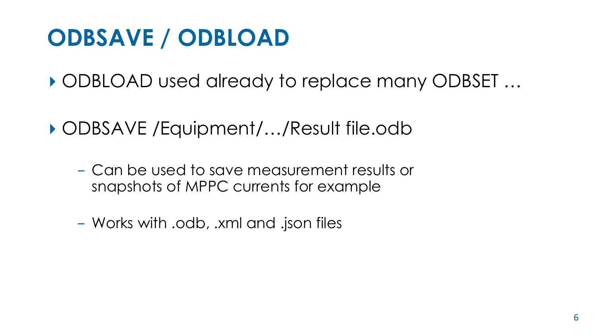### **ODBSAVE / ODBLOAD**

▸ ODBLOAD used already to replace many ODBSET …

▸ ODBSAVE /Equipment/…/Result file.odb

- Can be used to save measurement results or snapshots of MPPC currents for example
- Works with .odb, .xml and .json files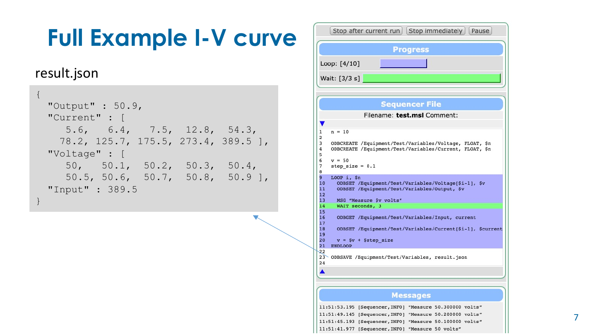# **Full Example I-V curve**

#### result.json

```
{
 "Output" : 50.9,
 "Current" : [ 
    5.6, 6.4, 7.5, 12.8, 54.3, 
   78.2, 125.7, 175.5, 273.4, 389.5 ],
 "Voltage" : [ 
    50, 50.1, 50.2, 50.3, 50.4,
    50.5, 50.6, 50.7, 50.8, 50.9 ],
 "Input" : 389.5
}
```

| Stop after current run   Stop immediately   Pause                                                                                         |  |  |  |  |
|-------------------------------------------------------------------------------------------------------------------------------------------|--|--|--|--|
| <b>Progress</b>                                                                                                                           |  |  |  |  |
| Loop: [4/10]                                                                                                                              |  |  |  |  |
| Wait: [3/3 s]                                                                                                                             |  |  |  |  |
|                                                                                                                                           |  |  |  |  |
| <b>Sequencer File</b>                                                                                                                     |  |  |  |  |
| Filename: test.msl Comment:                                                                                                               |  |  |  |  |
| $n = 10$<br>1                                                                                                                             |  |  |  |  |
| 2<br>3<br>ODBCREATE /Equipment/Test/Variables/Voltage, FLOAT, \$n<br>4<br>ODBCREATE /Equipment/Test/Variables/Current, FLOAT, \$n<br>5    |  |  |  |  |
| 6<br>$v = 50$<br>7<br>step size = $0.1$<br>8<br>9                                                                                         |  |  |  |  |
| LOOP $i$ , $Sn$<br>10<br>ODBSET /Equipment/Test/Variables/Voltage[\$i-1], \$v<br>11<br>ODBSET /Equipment/Test/Variables/Output, \$v<br>12 |  |  |  |  |
| MSG "Measure \$v volts"<br>13<br>14<br>WAIT seconds, 3                                                                                    |  |  |  |  |
| 15<br>ODBGET /Equipment/Test/Variables/Input, current<br>16<br>17                                                                         |  |  |  |  |
| 18<br>ODBSET /Equipment/Test/Variables/Current[\$i-1], \$current<br>19                                                                    |  |  |  |  |
| 20<br>$v = $v + $step size$<br>21<br><b>ENDLOOP</b>                                                                                       |  |  |  |  |
| 22<br>23<br>ODBSAVE /Equipment/Test/Variables, result.json<br>24                                                                          |  |  |  |  |
|                                                                                                                                           |  |  |  |  |
|                                                                                                                                           |  |  |  |  |
| <b>Messages</b>                                                                                                                           |  |  |  |  |
| 11:51:53.195 [Sequencer, INFO] "Measure 50.300000 volts"<br>11:51:49.145 [Sequencer, INFO] "Measure 50.200000 volts"                      |  |  |  |  |
| $11.51.45$ $193$ (Sequencer INFO) "Measure 50 100000 $\text{vol} + \text{e}$ "                                                            |  |  |  |  |

11:51:41.977 [Sequencer, INFO] "Measure 50 volts"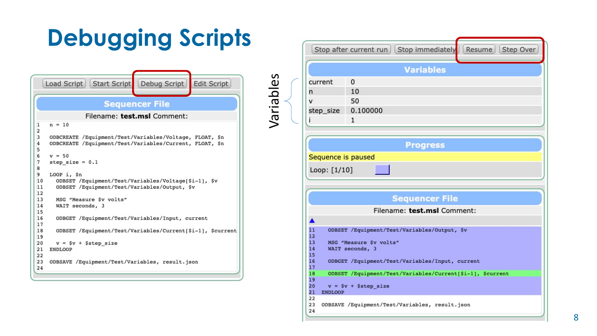# **Debugging Scripts**

Variables Variables

|                              | Debug Script<br>Load Script   Start Script<br><b>Edit Script</b> |  |  |  |  |
|------------------------------|------------------------------------------------------------------|--|--|--|--|
|                              | <b>Sequencer File</b>                                            |  |  |  |  |
| Filename: test.msl Comment:  |                                                                  |  |  |  |  |
| 1<br>$\overline{2}$          | $n = 10$                                                         |  |  |  |  |
| 3                            | ODBCREATE /Equipment/Test/Variables/Voltage, FLOAT, \$n          |  |  |  |  |
| $\overline{\mathbf{4}}$<br>5 | ODBCREATE /Equipment/Test/Variables/Current, FLOAT, \$n          |  |  |  |  |
| 6                            | $v = 50$                                                         |  |  |  |  |
| 7                            | step size = $0.1$                                                |  |  |  |  |
| 8                            |                                                                  |  |  |  |  |
| 9                            | LOOP i, \$n                                                      |  |  |  |  |
| 10                           | ODBSET /Equipment/Test/Variables/Voltage[\$i-1], \$v             |  |  |  |  |
| 11<br>12                     | ODBSET /Equipment/Test/Variables/Output, \$v                     |  |  |  |  |
| 13                           | MSG "Measure \$v volts"                                          |  |  |  |  |
| 14                           | WAIT seconds, 3                                                  |  |  |  |  |
| 15                           |                                                                  |  |  |  |  |
| 16                           | ODBGET /Equipment/Test/Variables/Input, current                  |  |  |  |  |
| 17                           |                                                                  |  |  |  |  |
| 18                           | ODBSET /Equipment/Test/Variables/Current[\$i-1], \$current       |  |  |  |  |
| 19                           |                                                                  |  |  |  |  |
| 20                           | $v = $v + $step size$                                            |  |  |  |  |
| 21                           | ENDLOOP                                                          |  |  |  |  |
| 22                           |                                                                  |  |  |  |  |
| 23                           | ODBSAVE /Equipment/Test/Variables, result.json                   |  |  |  |  |
| 24                           |                                                                  |  |  |  |  |

| Resume<br>Stop after current run   Stop immediately<br>Step Over |                                                            |  |  |  |  |
|------------------------------------------------------------------|------------------------------------------------------------|--|--|--|--|
|                                                                  | <b>Variables</b>                                           |  |  |  |  |
| current                                                          | 0                                                          |  |  |  |  |
| n                                                                | 10                                                         |  |  |  |  |
| v                                                                | 50                                                         |  |  |  |  |
| step_size                                                        | 0.100000                                                   |  |  |  |  |
| i                                                                | $\mathbf{1}$                                               |  |  |  |  |
|                                                                  |                                                            |  |  |  |  |
|                                                                  | <b>Progress</b>                                            |  |  |  |  |
| Sequence is paused                                               |                                                            |  |  |  |  |
| Loop: [1/10]                                                     |                                                            |  |  |  |  |
|                                                                  |                                                            |  |  |  |  |
|                                                                  | <b>Sequencer File</b>                                      |  |  |  |  |
|                                                                  | Filename: test.msl Comment:                                |  |  |  |  |
|                                                                  |                                                            |  |  |  |  |
| 11                                                               | ODBSET /Equipment/Test/Variables/Output, \$v               |  |  |  |  |
| 13<br>14<br>15                                                   | 12<br>MSG "Measure \$v volts"<br>WAIT seconds, 3           |  |  |  |  |
| 16<br>17                                                         | ODBGET /Equipment/Test/Variables/Input, current            |  |  |  |  |
| 18                                                               | ODBSET /Equipment/Test/Variables/Current[\$i-1], \$current |  |  |  |  |
| 19<br>20<br>21<br><b>ENDLOOP</b>                                 | $v = $v + $step size$                                      |  |  |  |  |
| 22<br>23<br>24                                                   | ODBSAVE /Equipment/Test/Variables, result.json             |  |  |  |  |